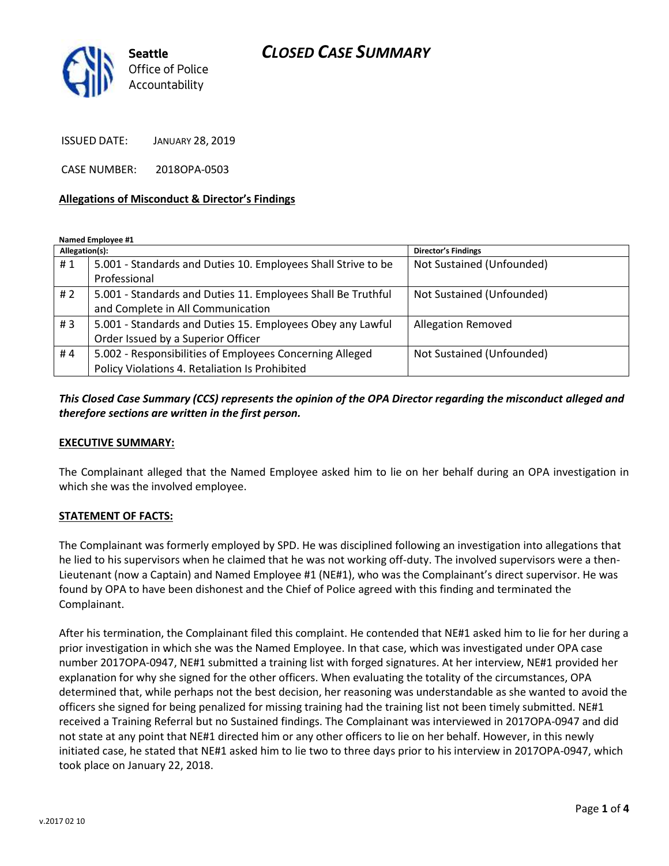## *CLOSED CASE SUMMARY*



ISSUED DATE: JANUARY 28, 2019

CASE NUMBER: 2018OPA-0503

#### **Allegations of Misconduct & Director's Findings**

**Named Employee #1**

| Allegation(s): |                                                               | Director's Findings       |
|----------------|---------------------------------------------------------------|---------------------------|
| #1             | 5.001 - Standards and Duties 10. Employees Shall Strive to be | Not Sustained (Unfounded) |
|                | Professional                                                  |                           |
| # 2            | 5.001 - Standards and Duties 11. Employees Shall Be Truthful  | Not Sustained (Unfounded) |
|                | and Complete in All Communication                             |                           |
| #3             | 5.001 - Standards and Duties 15. Employees Obey any Lawful    | <b>Allegation Removed</b> |
|                | Order Issued by a Superior Officer                            |                           |
| #4             | 5.002 - Responsibilities of Employees Concerning Alleged      | Not Sustained (Unfounded) |
|                | Policy Violations 4. Retaliation Is Prohibited                |                           |

*This Closed Case Summary (CCS) represents the opinion of the OPA Director regarding the misconduct alleged and therefore sections are written in the first person.* 

#### **EXECUTIVE SUMMARY:**

The Complainant alleged that the Named Employee asked him to lie on her behalf during an OPA investigation in which she was the involved employee.

### **STATEMENT OF FACTS:**

The Complainant was formerly employed by SPD. He was disciplined following an investigation into allegations that he lied to his supervisors when he claimed that he was not working off-duty. The involved supervisors were a then-Lieutenant (now a Captain) and Named Employee #1 (NE#1), who was the Complainant's direct supervisor. He was found by OPA to have been dishonest and the Chief of Police agreed with this finding and terminated the Complainant.

After his termination, the Complainant filed this complaint. He contended that NE#1 asked him to lie for her during a prior investigation in which she was the Named Employee. In that case, which was investigated under OPA case number 2017OPA-0947, NE#1 submitted a training list with forged signatures. At her interview, NE#1 provided her explanation for why she signed for the other officers. When evaluating the totality of the circumstances, OPA determined that, while perhaps not the best decision, her reasoning was understandable as she wanted to avoid the officers she signed for being penalized for missing training had the training list not been timely submitted. NE#1 received a Training Referral but no Sustained findings. The Complainant was interviewed in 2017OPA-0947 and did not state at any point that NE#1 directed him or any other officers to lie on her behalf. However, in this newly initiated case, he stated that NE#1 asked him to lie two to three days prior to his interview in 2017OPA-0947, which took place on January 22, 2018.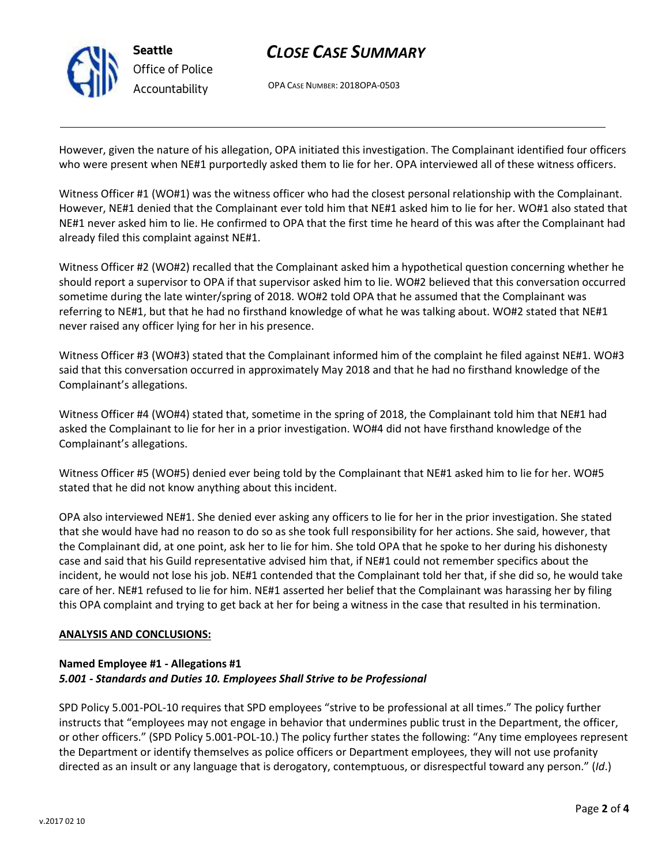

**Seattle** *Office of Police Accountability*

# *CLOSE CASE SUMMARY*

OPA CASE NUMBER: 2018OPA-0503

However, given the nature of his allegation, OPA initiated this investigation. The Complainant identified four officers who were present when NE#1 purportedly asked them to lie for her. OPA interviewed all of these witness officers.

Witness Officer #1 (WO#1) was the witness officer who had the closest personal relationship with the Complainant. However, NE#1 denied that the Complainant ever told him that NE#1 asked him to lie for her. WO#1 also stated that NE#1 never asked him to lie. He confirmed to OPA that the first time he heard of this was after the Complainant had already filed this complaint against NE#1.

Witness Officer #2 (WO#2) recalled that the Complainant asked him a hypothetical question concerning whether he should report a supervisor to OPA if that supervisor asked him to lie. WO#2 believed that this conversation occurred sometime during the late winter/spring of 2018. WO#2 told OPA that he assumed that the Complainant was referring to NE#1, but that he had no firsthand knowledge of what he was talking about. WO#2 stated that NE#1 never raised any officer lying for her in his presence.

Witness Officer #3 (WO#3) stated that the Complainant informed him of the complaint he filed against NE#1. WO#3 said that this conversation occurred in approximately May 2018 and that he had no firsthand knowledge of the Complainant's allegations.

Witness Officer #4 (WO#4) stated that, sometime in the spring of 2018, the Complainant told him that NE#1 had asked the Complainant to lie for her in a prior investigation. WO#4 did not have firsthand knowledge of the Complainant's allegations.

Witness Officer #5 (WO#5) denied ever being told by the Complainant that NE#1 asked him to lie for her. WO#5 stated that he did not know anything about this incident.

OPA also interviewed NE#1. She denied ever asking any officers to lie for her in the prior investigation. She stated that she would have had no reason to do so as she took full responsibility for her actions. She said, however, that the Complainant did, at one point, ask her to lie for him. She told OPA that he spoke to her during his dishonesty case and said that his Guild representative advised him that, if NE#1 could not remember specifics about the incident, he would not lose his job. NE#1 contended that the Complainant told her that, if she did so, he would take care of her. NE#1 refused to lie for him. NE#1 asserted her belief that the Complainant was harassing her by filing this OPA complaint and trying to get back at her for being a witness in the case that resulted in his termination.

### **ANALYSIS AND CONCLUSIONS:**

### **Named Employee #1 - Allegations #1** *5.001 - Standards and Duties 10. Employees Shall Strive to be Professional*

SPD Policy 5.001-POL-10 requires that SPD employees "strive to be professional at all times." The policy further instructs that "employees may not engage in behavior that undermines public trust in the Department, the officer, or other officers." (SPD Policy 5.001-POL-10.) The policy further states the following: "Any time employees represent the Department or identify themselves as police officers or Department employees, they will not use profanity directed as an insult or any language that is derogatory, contemptuous, or disrespectful toward any person." (*Id*.)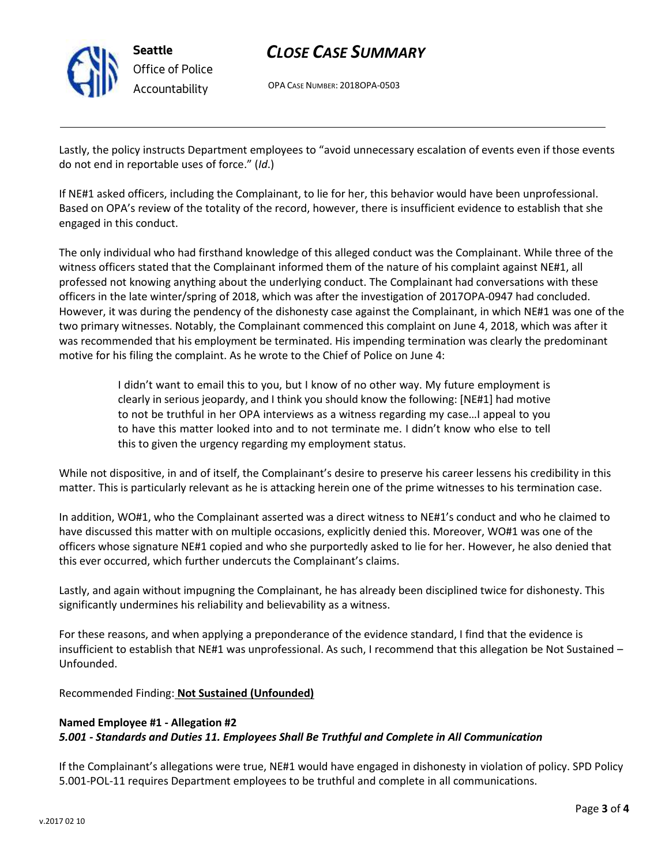

**Seattle** *Office of Police Accountability*

# *CLOSE CASE SUMMARY*

OPA CASE NUMBER: 2018OPA-0503

Lastly, the policy instructs Department employees to "avoid unnecessary escalation of events even if those events do not end in reportable uses of force." (*Id*.)

If NE#1 asked officers, including the Complainant, to lie for her, this behavior would have been unprofessional. Based on OPA's review of the totality of the record, however, there is insufficient evidence to establish that she engaged in this conduct.

The only individual who had firsthand knowledge of this alleged conduct was the Complainant. While three of the witness officers stated that the Complainant informed them of the nature of his complaint against NE#1, all professed not knowing anything about the underlying conduct. The Complainant had conversations with these officers in the late winter/spring of 2018, which was after the investigation of 2017OPA-0947 had concluded. However, it was during the pendency of the dishonesty case against the Complainant, in which NE#1 was one of the two primary witnesses. Notably, the Complainant commenced this complaint on June 4, 2018, which was after it was recommended that his employment be terminated. His impending termination was clearly the predominant motive for his filing the complaint. As he wrote to the Chief of Police on June 4:

> I didn't want to email this to you, but I know of no other way. My future employment is clearly in serious jeopardy, and I think you should know the following: [NE#1] had motive to not be truthful in her OPA interviews as a witness regarding my case…I appeal to you to have this matter looked into and to not terminate me. I didn't know who else to tell this to given the urgency regarding my employment status.

While not dispositive, in and of itself, the Complainant's desire to preserve his career lessens his credibility in this matter. This is particularly relevant as he is attacking herein one of the prime witnesses to his termination case.

In addition, WO#1, who the Complainant asserted was a direct witness to NE#1's conduct and who he claimed to have discussed this matter with on multiple occasions, explicitly denied this. Moreover, WO#1 was one of the officers whose signature NE#1 copied and who she purportedly asked to lie for her. However, he also denied that this ever occurred, which further undercuts the Complainant's claims.

Lastly, and again without impugning the Complainant, he has already been disciplined twice for dishonesty. This significantly undermines his reliability and believability as a witness.

For these reasons, and when applying a preponderance of the evidence standard, I find that the evidence is insufficient to establish that NE#1 was unprofessional. As such, I recommend that this allegation be Not Sustained – Unfounded.

Recommended Finding: **Not Sustained (Unfounded)**

#### **Named Employee #1 - Allegation #2** *5.001 - Standards and Duties 11. Employees Shall Be Truthful and Complete in All Communication*

If the Complainant's allegations were true, NE#1 would have engaged in dishonesty in violation of policy. SPD Policy 5.001-POL-11 requires Department employees to be truthful and complete in all communications.